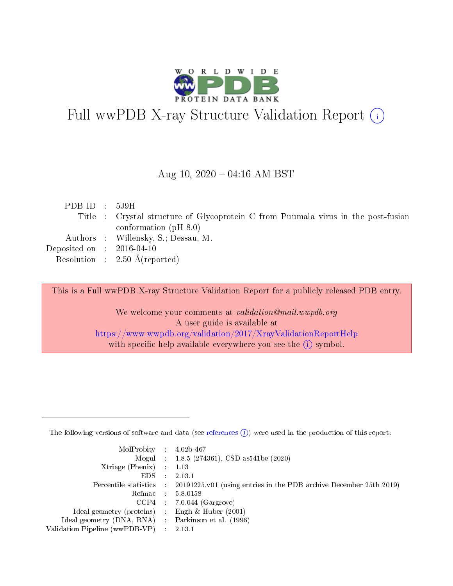

# Full wwPDB X-ray Structure Validation Report (i)

#### Aug 10,  $2020 - 04:16$  AM BST

| PDB ID : $5J9H$             |                                                                                   |
|-----------------------------|-----------------------------------------------------------------------------------|
|                             | Title : Crystal structure of Glycoprotein C from Puumala virus in the post-fusion |
|                             | conformation ( $pH 8.0$ )                                                         |
|                             | Authors : Willensky, S.; Dessau, M.                                               |
| Deposited on : $2016-04-10$ |                                                                                   |
|                             | Resolution : $2.50 \text{ Å}$ (reported)                                          |
|                             |                                                                                   |

This is a Full wwPDB X-ray Structure Validation Report for a publicly released PDB entry.

We welcome your comments at validation@mail.wwpdb.org A user guide is available at <https://www.wwpdb.org/validation/2017/XrayValidationReportHelp> with specific help available everywhere you see the  $(i)$  symbol.

The following versions of software and data (see [references](https://www.wwpdb.org/validation/2017/XrayValidationReportHelp#references)  $(1)$ ) were used in the production of this report:

| $MolProbability$ : 4.02b-467                      |                             |                                                                                            |
|---------------------------------------------------|-----------------------------|--------------------------------------------------------------------------------------------|
|                                                   |                             | Mogul : $1.8.5$ (274361), CSD as 541be (2020)                                              |
| Xtriage (Phenix) $: 1.13$                         |                             |                                                                                            |
| EDS.                                              | $\mathcal{L}$               | 2.13.1                                                                                     |
|                                                   |                             | Percentile statistics : 20191225.v01 (using entries in the PDB archive December 25th 2019) |
| Refmac : 5.8.0158                                 |                             |                                                                                            |
|                                                   |                             | $CCP4$ 7.0.044 (Gargrove)                                                                  |
| Ideal geometry (proteins)                         | $\mathcal{L}_{\mathcal{L}}$ | Engh $\&$ Huber (2001)                                                                     |
| Ideal geometry (DNA, RNA) Parkinson et al. (1996) |                             |                                                                                            |
| Validation Pipeline (wwPDB-VP) : 2.13.1           |                             |                                                                                            |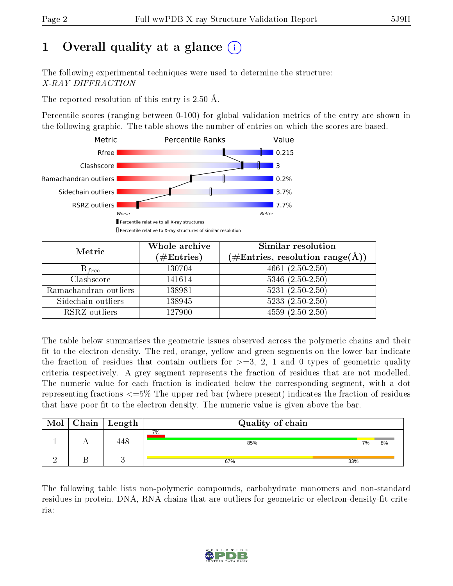# 1 [O](https://www.wwpdb.org/validation/2017/XrayValidationReportHelp#overall_quality)verall quality at a glance  $(i)$

The following experimental techniques were used to determine the structure: X-RAY DIFFRACTION

The reported resolution of this entry is 2.50 Å.

Percentile scores (ranging between 0-100) for global validation metrics of the entry are shown in the following graphic. The table shows the number of entries on which the scores are based.



| Metric                | Whole archive<br>$(\#\text{Entries})$ | Similar resolution<br>$(\#\text{Entries},\,\text{resolution}\,\,\text{range}(\textup{\AA}))$ |  |  |
|-----------------------|---------------------------------------|----------------------------------------------------------------------------------------------|--|--|
| $R_{free}$            | 130704                                | $4661(2.50-2.50)$                                                                            |  |  |
| Clashscore            | 141614                                | $5346$ $(2.50-2.50)$                                                                         |  |  |
| Ramachandran outliers | 138981                                | $5231 (2.50 - 2.50)$                                                                         |  |  |
| Sidechain outliers    | 138945                                | $5233(2.50-2.50)$                                                                            |  |  |
| RSRZ outliers         | 127900                                | $4559(2.50-2.50)$                                                                            |  |  |

The table below summarises the geometric issues observed across the polymeric chains and their fit to the electron density. The red, orange, yellow and green segments on the lower bar indicate the fraction of residues that contain outliers for  $>=3, 2, 1$  and 0 types of geometric quality criteria respectively. A grey segment represents the fraction of residues that are not modelled. The numeric value for each fraction is indicated below the corresponding segment, with a dot representing fractions  $\epsilon=5\%$  The upper red bar (where present) indicates the fraction of residues that have poor fit to the electron density. The numeric value is given above the bar.

| Mol | $C$ hain   Length | Quality of chain |          |  |  |  |  |
|-----|-------------------|------------------|----------|--|--|--|--|
|     | 448               | 7%<br>85%        | 8%<br>7% |  |  |  |  |
|     |                   | 67%              | 33%      |  |  |  |  |

The following table lists non-polymeric compounds, carbohydrate monomers and non-standard residues in protein, DNA, RNA chains that are outliers for geometric or electron-density-fit criteria:

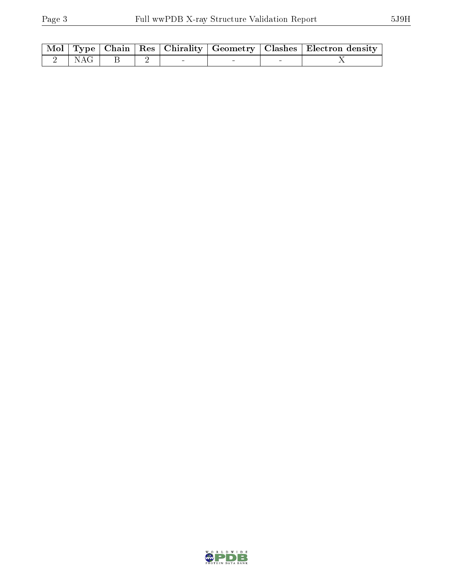|  |                 |  |  | Mol   Type   Chain   Res   Chirality   Geometry   Clashes   Electron density |
|--|-----------------|--|--|------------------------------------------------------------------------------|
|  | 2   NAG   B   2 |  |  |                                                                              |

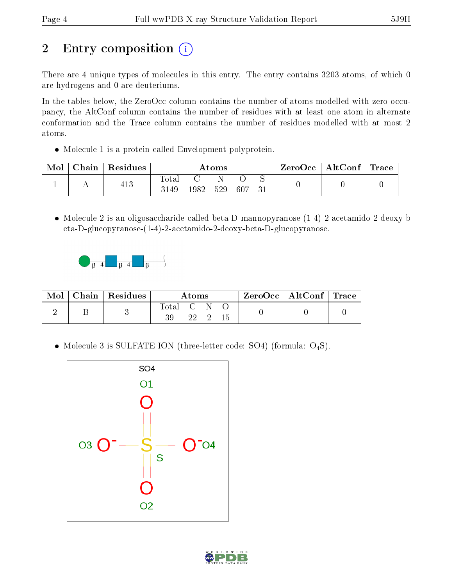# 2 Entry composition  $\left( \cdot \right)$

There are 4 unique types of molecules in this entry. The entry contains 3203 atoms, of which 0 are hydrogens and 0 are deuteriums.

In the tables below, the ZeroOcc column contains the number of atoms modelled with zero occupancy, the AltConf column contains the number of residues with at least one atom in alternate conformation and the Trace column contains the number of residues modelled with at most 2 atoms.

Molecule 1 is a protein called Envelopment polyprotein.

| Mol | $\pm$ Chain $^+$ | Residues | Atoms               |      |     |     |  | ZeroOcc∣ | $\mid$ AltConf $\mid$ Trace |  |
|-----|------------------|----------|---------------------|------|-----|-----|--|----------|-----------------------------|--|
|     |                  | 413      | $\rm Total$<br>3149 | 1982 | 529 | 607 |  |          |                             |  |

 $\bullet$  Molecule 2 is an oligosaccharide called beta-D-mannopyranose- $(1-4)$ -2-acetamido-2-deoxy-b eta-D-glucopyranose-(1-4)-2-acetamido-2-deoxy-beta-D-glucopyranose.



| Mol | Chain   Residues | Atoms     |         |  | $\mathsf{ZeroOcc} \mid \mathsf{AltConf} \mid \mathsf{Trace}$ |  |
|-----|------------------|-----------|---------|--|--------------------------------------------------------------|--|
|     |                  | Total C N | 22 2 15 |  |                                                              |  |

• Molecule 3 is SULFATE ION (three-letter code: SO4) (formula:  $O_4S$ ).



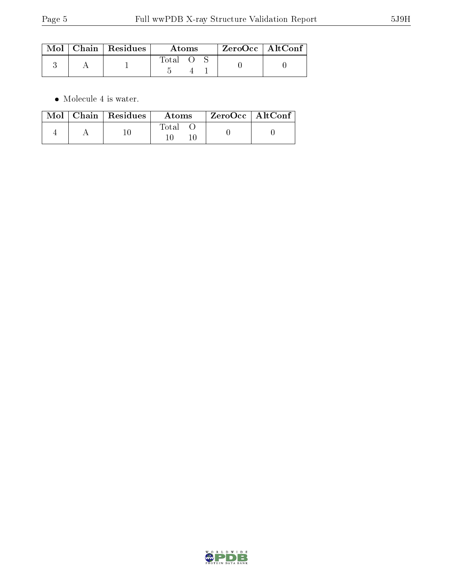|  | $\text{Mol}$   Chain   Residues | Atoms |  |  | $ZeroOcc$   AltConf |
|--|---------------------------------|-------|--|--|---------------------|
|  |                                 | Total |  |  |                     |

 $\bullet\,$  Molecule 4 is water.

| Mol | $\mid$ Chain $\mid$ Residues $\mid$ | Atoms | $ZeroOcc$   AltConf |  |
|-----|-------------------------------------|-------|---------------------|--|
|     |                                     | Fotal |                     |  |

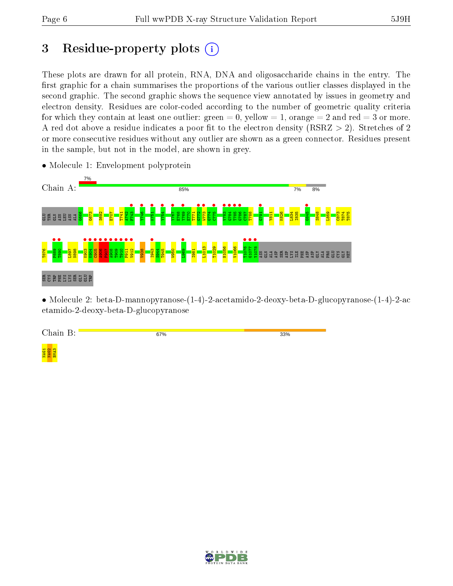# 3 Residue-property plots  $(i)$

These plots are drawn for all protein, RNA, DNA and oligosaccharide chains in the entry. The first graphic for a chain summarises the proportions of the various outlier classes displayed in the second graphic. The second graphic shows the sequence view annotated by issues in geometry and electron density. Residues are color-coded according to the number of geometric quality criteria for which they contain at least one outlier: green  $= 0$ , yellow  $= 1$ , orange  $= 2$  and red  $= 3$  or more. A red dot above a residue indicates a poor fit to the electron density ( $RSRZ > 2$ ). Stretches of 2 or more consecutive residues without any outlier are shown as a green connector. Residues present in the sample, but not in the model, are shown in grey.



• Molecule 1: Envelopment polyprotein

• Molecule 2: beta-D-mannopyranose-(1-4)-2-acetamido-2-deoxy-beta-D-glucopyranose-(1-4)-2-ac etamido-2-deoxy-beta-D-glucopyranose

| $\blacksquare$<br>$\sim$<br>$\bullet$<br>and street. | 67% | 33% |
|------------------------------------------------------|-----|-----|
|                                                      |     |     |



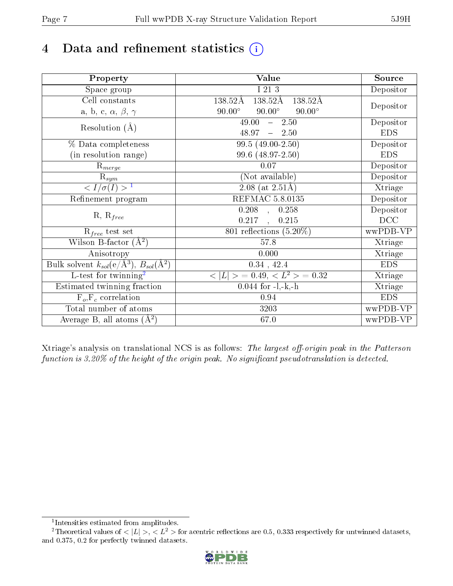# 4 Data and refinement statistics  $(i)$

| Property                                                      | Value                                           | Source     |
|---------------------------------------------------------------|-------------------------------------------------|------------|
| Space group                                                   | I 213                                           | Depositor  |
| Cell constants                                                | 138.52Å<br>138.52Å<br>$138.52\text{\AA}$        |            |
| a, b, c, $\alpha$ , $\beta$ , $\gamma$                        | $90.00^\circ$<br>$90.00^\circ$<br>$90.00^\circ$ | Depositor  |
| Resolution $(A)$                                              | 49.00<br>$-2.50$                                | Depositor  |
|                                                               | 48.97<br>$-2.50$                                | <b>EDS</b> |
| % Data completeness                                           | 99.5 (49.00-2.50)                               | Depositor  |
| (in resolution range)                                         | 99.6 (48.97-2.50)                               | <b>EDS</b> |
| $R_{merge}$                                                   | 0.07                                            | Depositor  |
| $\mathrm{R}_{sym}$                                            | (Not available)                                 | Depositor  |
| $\sqrt{I/\sigma}(I) > 1$                                      | $\overline{2.08}$ (at 2.51Å)                    | Xtriage    |
| Refinement program                                            | <b>REFMAC 5.8.0135</b>                          | Depositor  |
|                                                               | $0.208$ , $0.258$                               | Depositor  |
| $R, R_{free}$                                                 | 0.217<br>0.215<br>$\mathbb{R}^2$                | DCC        |
| $R_{free}$ test set                                           | 801 reflections $(5.20\%)$                      | wwPDB-VP   |
| Wilson B-factor $(A^2)$                                       | 57.8                                            | Xtriage    |
| Anisotropy                                                    | 0.000                                           | Xtriage    |
| Bulk solvent $k_{sol}(e/\text{\AA}^3), B_{sol}(\text{\AA}^2)$ | $0.34$ , $42.4$                                 | <b>EDS</b> |
| $\overline{L-test for }$ twinning <sup>2</sup>                | $< L >$ = 0.49, $< L2$ > = 0.32                 | Xtriage    |
| Estimated twinning fraction                                   | $0.044$ for $-l,-k,-h$                          | Xtriage    |
| $F_o, F_c$ correlation                                        | 0.94                                            | <b>EDS</b> |
| Total number of atoms                                         | 3203                                            | wwPDB-VP   |
| Average B, all atoms $(A^2)$                                  | 67.0                                            | wwPDB-VP   |

Xtriage's analysis on translational NCS is as follows: The largest off-origin peak in the Patterson function is  $3.20\%$  of the height of the origin peak. No significant pseudotranslation is detected.

<sup>&</sup>lt;sup>2</sup>Theoretical values of  $\langle |L| \rangle$ ,  $\langle L^2 \rangle$  for acentric reflections are 0.5, 0.333 respectively for untwinned datasets, and 0.375, 0.2 for perfectly twinned datasets.



<span id="page-6-1"></span><span id="page-6-0"></span><sup>1</sup> Intensities estimated from amplitudes.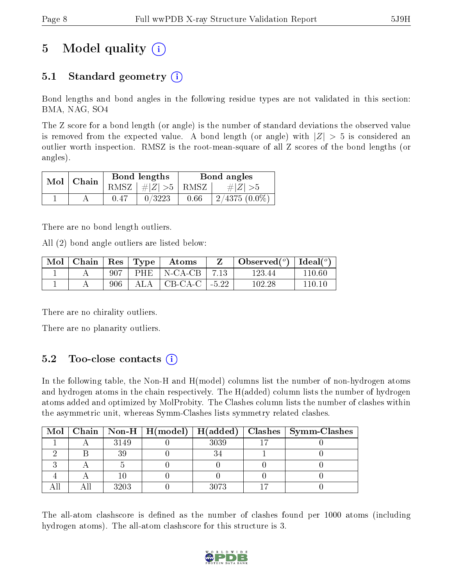# 5 Model quality  $(i)$

## 5.1 Standard geometry  $(i)$

Bond lengths and bond angles in the following residue types are not validated in this section: BMA, NAG, SO4

The Z score for a bond length (or angle) is the number of standard deviations the observed value is removed from the expected value. A bond length (or angle) with  $|Z| > 5$  is considered an outlier worth inspection. RMSZ is the root-mean-square of all Z scores of the bond lengths (or angles).

| Mol | Chain |      | Bond lengths                 | Bond angles |                 |  |
|-----|-------|------|------------------------------|-------------|-----------------|--|
|     |       |      | RMSZ $\mid \#Z \mid >5$ RMSZ |             | $\# Z  > 5$     |  |
|     |       | 0.47 | 0/3223                       | 0.66        | $2/4375(0.0\%)$ |  |

There are no bond length outliers.

All (2) bond angle outliers are listed below:

| Mol | Chain   Res   Type |     | $\bold{Atoms}$                   | $\Box$ Observed $(^\circ)$   Ideal $(^\circ)$ |         |
|-----|--------------------|-----|----------------------------------|-----------------------------------------------|---------|
|     |                    | 907 | PHE $\vert$ N-CA-CB $\vert$ 7.13 | 123 44                                        | 110 60  |
|     |                    | 906 | ALA $\mid$ CB-CA-C $\mid$ -5.22  | 102-28                                        | 110-10- |

There are no chirality outliers.

There are no planarity outliers.

## 5.2 Too-close contacts  $(i)$

In the following table, the Non-H and H(model) columns list the number of non-hydrogen atoms and hydrogen atoms in the chain respectively. The H(added) column lists the number of hydrogen atoms added and optimized by MolProbity. The Clashes column lists the number of clashes within the asymmetric unit, whereas Symm-Clashes lists symmetry related clashes.

|  |      |      | Mol   Chain   Non-H   H(model)   H(added)   Clashes   Symm-Clashes |
|--|------|------|--------------------------------------------------------------------|
|  | 3149 | 3039 |                                                                    |
|  |      |      |                                                                    |
|  |      |      |                                                                    |
|  |      |      |                                                                    |
|  | 3203 | 3073 |                                                                    |

The all-atom clashscore is defined as the number of clashes found per 1000 atoms (including hydrogen atoms). The all-atom clashscore for this structure is 3.

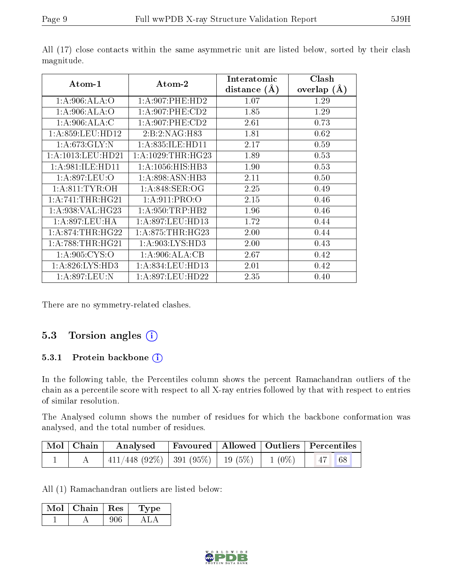| $Atom-1$            | $\boldsymbol{\mathrm{Atom}\text{-}2}$ | Interatomic<br>(A)<br>distance | Clash<br>(A)<br>overlap |
|---------------------|---------------------------------------|--------------------------------|-------------------------|
| 1: A:906: ALA:O     | 1: A:907: PHE:HD2                     | 1.07                           | 1.29                    |
| 1:A:906:ALA:O       | $1: A:907:$ PHE:CD2                   | 1.85                           | 1.29                    |
| 1: A:906:ALA:C      | $1: A:907:$ PHE:CD2                   | 2.61                           | 0.73                    |
| 1:A:859:LEU:HD12    | 2:B:2:NAG:H83                         | 1.81                           | 0.62                    |
| 1:A:673:GLY:N       | 1: A:835: ILE: HDI1                   | 2.17                           | 0.59                    |
| 1:A:1013:LEU:HD21   | 1: A: 1029: THR: HG23                 | 1.89                           | 0.53                    |
| 1: A:981: ILE: HDI1 | 1: A: 1056: HIS: HB3                  | 1.90                           | 0.53                    |
| 1: A:897:LEU:O      | 1:A:898:ASN:HB3                       | 2.11                           | 0.50                    |
| 1: A:811: TYR:OH    | 1: A:848: SER:OG                      | 2.25                           | 0.49                    |
| 1: A:741:THR:HG21   | 1: A:911: PRO:O                       | 2.15                           | 0.46                    |
| 1: A:938: VAL: HG23 | 1: A:950:TRP:HB2                      | 1.96                           | 0.46                    |
| 1: A:897:LEU:HA     | 1: A:897:LEU:HD13                     | 1.72                           | 0.44                    |
| 1: A:874:THR:HG22   | 1: A:875:THR:HG23                     | 2.00                           | 0.44                    |
| 1: A:788:THR:HG21   | 1: A:903: LYS: HD3                    | 2.00                           | 0.43                    |
| 1:A:905:CYS:O       | 1:A:906:ALA:CB                        | 2.67                           | 0.42                    |
| 1:A:826:LYS:HD3     | 1:A:834:LEU:HD13                      | 2.01                           | 0.42                    |
| 1:A:897:LEU:N       | 1: A:897:LEU:HD22                     | 2.35                           | 0.40                    |

All (17) close contacts within the same asymmetric unit are listed below, sorted by their clash magnitude.

There are no symmetry-related clashes.

### 5.3 Torsion angles (i)

#### 5.3.1 Protein backbone (i)

In the following table, the Percentiles column shows the percent Ramachandran outliers of the chain as a percentile score with respect to all X-ray entries followed by that with respect to entries of similar resolution.

The Analysed column shows the number of residues for which the backbone conformation was analysed, and the total number of residues.

| $\mid$ Mol $\mid$ Chain $\mid$ | $\boldsymbol{\mathrm{Analysed}}$                  |  | Favoured   Allowed   Outliers   Percentiles |
|--------------------------------|---------------------------------------------------|--|---------------------------------------------|
|                                | $^+$ 411/448 (92%)   391 (95%)   19 (5%)   1 (0%) |  | $\vert$ 47 68                               |

All (1) Ramachandran outliers are listed below:

| Mol | Chain | $+$ Res $+$ | vpe |
|-----|-------|-------------|-----|
|     |       |             |     |

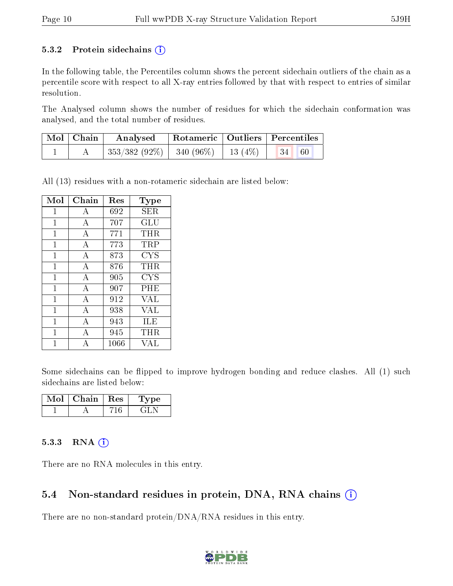#### 5.3.2 Protein sidechains  $(i)$

In the following table, the Percentiles column shows the percent sidechain outliers of the chain as a percentile score with respect to all X-ray entries followed by that with respect to entries of similar resolution.

The Analysed column shows the number of residues for which the sidechain conformation was analysed, and the total number of residues.

| $\vert$ Mol $\vert$ Chain $\vert$ | Analysed Rotameric   Outliers   Percentiles                       |  |  |  |
|-----------------------------------|-------------------------------------------------------------------|--|--|--|
|                                   | $\mid$ 353/382 (92%) $\mid$ 340 (96%) $\mid$ 13 (4%) $\mid$ 34 60 |  |  |  |

All (13) residues with a non-rotameric sidechain are listed below:

| Mol          | Chain | Res  | Type                           |
|--------------|-------|------|--------------------------------|
| $\mathbf{1}$ | А     | 692  | SER                            |
| $\mathbf{1}$ | А     | 707  | $\mathrm{GL} \bar{\mathrm{U}}$ |
| 1            | A     | 771  | THR                            |
| $\mathbf{1}$ | A     | 773  | TRP                            |
| $\mathbf{1}$ | А     | 873  | <b>CYS</b>                     |
| 1            | A     | 876  | THR                            |
| 1            | A     | 905  | <b>CYS</b>                     |
| $\mathbf{1}$ | А     | 907  | PHE                            |
| 1            | А     | 912  | <b>VAL</b>                     |
| $\mathbf{1}$ | A     | 938  | VAL                            |
| $\mathbf{1}$ | А     | 943  | ILE                            |
| 1            | А     | 945  | THR                            |
|              |       | 1066 | VAI.                           |

Some sidechains can be flipped to improve hydrogen bonding and reduce clashes. All (1) such sidechains are listed below:

| Mol | Chain   Res | Type |
|-----|-------------|------|
|     |             |      |

#### $5.3.3$  RNA  $(i)$

There are no RNA molecules in this entry.

#### 5.4 Non-standard residues in protein, DNA, RNA chains (i)

There are no non-standard protein/DNA/RNA residues in this entry.

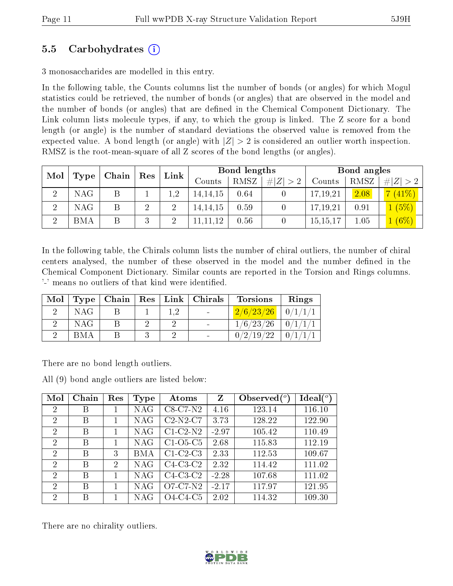### 5.5 Carbohydrates (i)

3 monosaccharides are modelled in this entry.

In the following table, the Counts columns list the number of bonds (or angles) for which Mogul statistics could be retrieved, the number of bonds (or angles) that are observed in the model and the number of bonds (or angles) that are dened in the Chemical Component Dictionary. The Link column lists molecule types, if any, to which the group is linked. The Z score for a bond length (or angle) is the number of standard deviations the observed value is removed from the expected value. A bond length (or angle) with  $|Z| > 2$  is considered an outlier worth inspection. RMSZ is the root-mean-square of all Z scores of the bond lengths (or angles).

| Mol      |      |  | ${\bf Chain}$ |                |            | ${\rm Res}$ | Link            |          | Bond lengths |             |  | Bond angles |  |  |
|----------|------|--|---------------|----------------|------------|-------------|-----------------|----------|--------------|-------------|--|-------------|--|--|
|          | Type |  |               |                | Counts     | RMSZ        | Z  <br>$\sim$ 2 | Counts   | RMSZ         | # $ Z  > 2$ |  |             |  |  |
| $\Omega$ | NAG  |  |               | 1,2            | 14, 14, 15 | 0.64        |                 | 17,19,21 | 2.08         | $(41\%)$    |  |             |  |  |
| ച        | NAG. |  | റ             | $\overline{2}$ | 14, 14, 15 | 0.59        |                 | 17,19,21 | 0.91         | (5%)        |  |             |  |  |
| ച        | BMA  |  | $\mathcal{Q}$ |                | 11, 11, 12 | 0.56        |                 | 15,15,1  | 1.05         | $[6\%]$     |  |             |  |  |

In the following table, the Chirals column lists the number of chiral outliers, the number of chiral centers analysed, the number of these observed in the model and the number defined in the Chemical Component Dictionary. Similar counts are reported in the Torsion and Rings columns. '-' means no outliers of that kind were identified.

| Mol |            |  | Type   Chain   Res   Link   Chirals | <b>Torsions</b>         | Rings |
|-----|------------|--|-------------------------------------|-------------------------|-------|
|     | NAG        |  | $\sim$                              | $2/6/23/26$   $0/1/1/1$ |       |
|     | <b>NAG</b> |  |                                     | $1/6/23/26$   $0/1/1/1$ |       |
|     | <b>BMA</b> |  |                                     | 0/2/19/22               |       |

There are no bond length outliers.

All (9) bond angle outliers are listed below:

| Mol                         | Chain | Res            | Type | Atoms      | Z       | Observed $(^\circ)$ | $\text{Ideal}({}^o)$ |
|-----------------------------|-------|----------------|------|------------|---------|---------------------|----------------------|
| 2                           | В     |                | NAG  | $C8-C7-N2$ | 4.16    | 123.14              | 116.10               |
| $\mathcal{D}_{\mathcal{L}}$ | В     |                | NAG  | $C2-N2-C7$ | 3.73    | 128.22              | 122.90               |
| 2                           | В     |                | NAG  | $C1-C2-N2$ | $-2.97$ | 105.42              | 110.49               |
| $\overline{2}$              | В     |                | NAG  | $C1-O5-C5$ | 2.68    | 115.83              | 112.19               |
| $\mathcal{D}$               | В     | 3              | BMA  | $C1-C2-C3$ | 2.33    | 112.53              | 109.67               |
| 2                           | В     | $\overline{2}$ | NAG  | $C4-C3-C2$ | 2.32    | 114.42              | 111.02               |
| $\overline{2}$              | В     |                | NAG  | $C4-C3-C2$ | $-2.28$ | 107.68              | 111.02               |
| $\mathcal{D}$               | В     |                | NAG  | $O7-C7-N2$ | $-2.17$ | 117.97              | 121.95               |
| 2                           | В     |                | NAG  | $O4-C4-C5$ | 2.02    | 114.32              | 109.30               |

There are no chirality outliers.

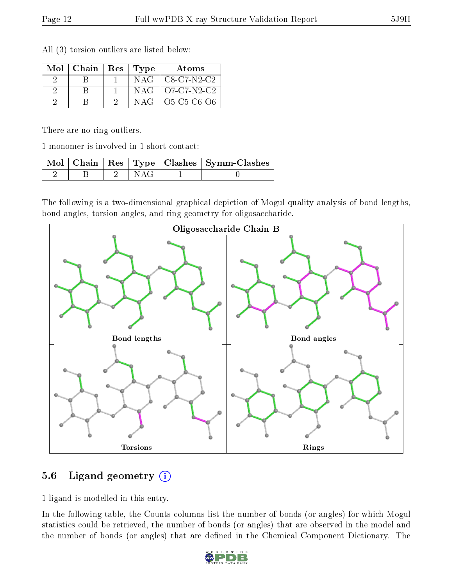| Mol | Chain | Res | Type  | Atoms               |
|-----|-------|-----|-------|---------------------|
|     |       |     | NAG - | $C8-C7-N2-C2$       |
|     |       |     | NAG   | O7-C7-N2-C2         |
|     |       |     | NAG   | $O5 - C5 - C6 - O6$ |

All (3) torsion outliers are listed below:

There are no ring outliers.

1 monomer is involved in 1 short contact:

|  |  | Mol   Chain   Res   Type   Clashes   Symm-Clashes |
|--|--|---------------------------------------------------|
|  |  |                                                   |

The following is a two-dimensional graphical depiction of Mogul quality analysis of bond lengths, bond angles, torsion angles, and ring geometry for oligosaccharide.



### 5.6 Ligand geometry (i)

1 ligand is modelled in this entry.

In the following table, the Counts columns list the number of bonds (or angles) for which Mogul statistics could be retrieved, the number of bonds (or angles) that are observed in the model and the number of bonds (or angles) that are defined in the Chemical Component Dictionary. The

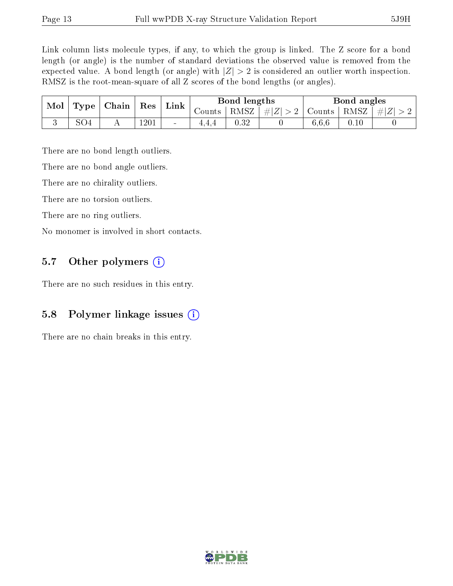Link column lists molecule types, if any, to which the group is linked. The Z score for a bond length (or angle) is the number of standard deviations the observed value is removed from the expected value. A bond length (or angle) with  $|Z| > 2$  is considered an outlier worth inspection. RMSZ is the root-mean-square of all Z scores of the bond lengths (or angles).

| Mol | $\Gamma$ Type $\Gamma$ | Chain | $\operatorname{Res}$ | Link   |        | Bond lengths |         |               | Bond angles |         |
|-----|------------------------|-------|----------------------|--------|--------|--------------|---------|---------------|-------------|---------|
|     |                        |       |                      |        | Counts | RMSZ         | $\# Z $ | Counts   RMSZ |             | $\# Z $ |
|     | SO4                    |       | $120\,\mathrm{I}$    | $\sim$ | ュュコ    | 0.32         |         | 6.6.6         | $0.10\,$    |         |

There are no bond length outliers.

There are no bond angle outliers.

There are no chirality outliers.

There are no torsion outliers.

There are no ring outliers.

No monomer is involved in short contacts.

### 5.7 [O](https://www.wwpdb.org/validation/2017/XrayValidationReportHelp#nonstandard_residues_and_ligands)ther polymers  $(i)$

There are no such residues in this entry.

### 5.8 Polymer linkage issues (i)

There are no chain breaks in this entry.

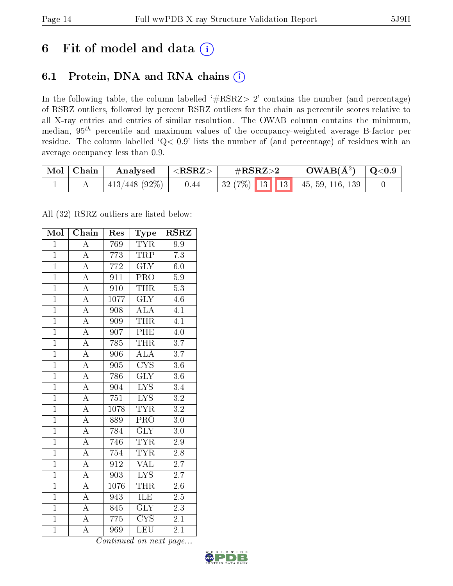# 6 Fit of model and data  $(i)$

## 6.1 Protein, DNA and RNA chains  $(i)$

In the following table, the column labelled  $#RSRZ> 2'$  contains the number (and percentage) of RSRZ outliers, followed by percent RSRZ outliers for the chain as percentile scores relative to all X-ray entries and entries of similar resolution. The OWAB column contains the minimum, median,  $95<sup>th</sup>$  percentile and maximum values of the occupancy-weighted average B-factor per residue. The column labelled ' $Q< 0.9$ ' lists the number of (and percentage) of residues with an average occupancy less than 0.9.

| $\text{Mol}$ | ∣ Chain | Analysed         | $<$ RSRZ $>$ | $\#\text{RSRZ}\text{>2}$              | $OWAB(A^2)$ | $\mid$ Q<0.9 |
|--------------|---------|------------------|--------------|---------------------------------------|-------------|--------------|
|              |         | $413/448$ (92\%) | 0.44         | $\mid$ 32 (7%) 13 13 45, 59, 116, 139 |             |              |

All (32) RSRZ outliers are listed below:

| Mol            | Chain              | Res              | Type                          | <b>RSRZ</b>      |
|----------------|--------------------|------------------|-------------------------------|------------------|
| $\overline{1}$ | $\overline{\rm A}$ | 769              | <b>TYR</b>                    | 9.9              |
| $\overline{1}$ | $\overline{\rm A}$ | 773              | <b>TRP</b>                    | $\overline{7.3}$ |
| $\overline{1}$ | $\overline{\rm A}$ | 772              | $\overline{\text{GLY}}$       | 6.0              |
| $\overline{1}$ | $\overline{\rm A}$ | 911              | PRO                           | 5.9              |
| $\overline{1}$ | $\overline{\rm A}$ | $\overline{910}$ | <b>THR</b>                    | $\overline{5.3}$ |
| $\mathbf{1}$   | $\overline{\rm A}$ | 1077             | $\overline{\text{GLY}}$       | 4.6              |
| $\overline{1}$ | $\overline{\rm A}$ | 908              | $\mathrm{AL}\bar{\mathrm{A}}$ | 4.1              |
| $\overline{1}$ | $\overline{A}$     | 909              | <b>THR</b>                    | $\overline{4.1}$ |
| $\overline{1}$ | $\overline{\rm A}$ | 907              | PHE                           | $\overline{4.0}$ |
| $\overline{1}$ | $\overline{A}$     | 785              | <b>THR</b>                    | 3.7              |
| $\mathbf{1}$   | $\overline{\rm A}$ | 906              | $\overline{\rm ALA}$          | $\overline{3.7}$ |
| $\overline{1}$ | $\overline{\rm A}$ | 905              | $\overline{\text{CYS}}$       | 3.6              |
| $\overline{1}$ | $\overline{\rm A}$ | 786              | $\overline{\text{GLY}}$       | 3.6              |
| $\overline{1}$ | $\overline{\rm A}$ | 904              | $\overline{\text{LYS}}$       | 3.4              |
| $\overline{1}$ | $\overline{\rm A}$ | 751              | $\overline{\text{LYS}}$       | $\overline{3.2}$ |
| $\overline{1}$ | $\overline{\rm A}$ | 1078             | <b>TYR</b>                    | $\overline{3.2}$ |
| $\overline{1}$ | $\overline{\rm A}$ | 889              | $\overline{\text{PRO}}$       | $\overline{3.0}$ |
| $\mathbf{1}$   | $\overline{\rm A}$ | 784              | $\overline{\text{GLY}}$       | 3.0              |
| $\overline{1}$ | $\overline{\rm A}$ | 746              | <b>TYR</b>                    | 2.9              |
| $\mathbf{1}$   | $\overline{\rm A}$ | 754              | <b>TYR</b>                    | $\overline{2.8}$ |
| $\overline{1}$ | $\overline{\rm A}$ | 912              | VAL                           | 2.7              |
| $\overline{1}$ | $\overline{\rm A}$ | $\overline{903}$ | $\overline{\text{LYS}}$       | $\overline{2.7}$ |
| $\overline{1}$ | $\overline{\rm A}$ | 1076             | <b>THR</b>                    | $2.6\,$          |
| $\overline{1}$ | $\overline{\rm A}$ | 943              | $\overline{\text{ILE}}$       | 2.5              |
| $\overline{1}$ | $\overline{\rm A}$ | 845              | GLY                           | $\overline{2.3}$ |
| $\overline{1}$ | $\overline{\rm A}$ | 775              | $\overline{\text{CYS}}$       | 2.1              |
| $\overline{1}$ | $\overline{\rm A}$ | 969              | $\overline{\text{LEU}}$       | 2.1              |

Continued on next page...

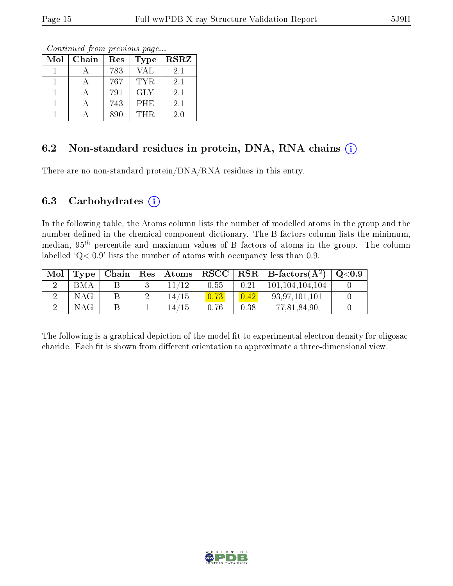Continued from previous page...

| Mol | Chain | Res | <b>Type</b> | <b>RSRZ</b> |
|-----|-------|-----|-------------|-------------|
|     |       | 783 | <b>VAL</b>  | 2.1         |
|     |       | 767 | <b>TYR</b>  | 2.1         |
|     |       | 791 | <b>GLY</b>  | 2.1         |
|     |       | 743 | <b>PHE</b>  | 2.1         |
|     |       | 890 | THR.        | 2.0         |

#### 6.2 Non-standard residues in protein, DNA, RNA chains (i)

There are no non-standard protein/DNA/RNA residues in this entry.

#### 6.3 Carbohydrates  $(i)$

In the following table, the Atoms column lists the number of modelled atoms in the group and the number defined in the chemical component dictionary. The B-factors column lists the minimum, median,  $95<sup>th</sup>$  percentile and maximum values of B factors of atoms in the group. The column labelled 'Q< 0.9' lists the number of atoms with occupancy less than 0.9.

| Mol |     |  | Type   Chain   Res   Atoms |      |      | $RSCC$ RSR B-factors $(A^2)$ Q<0.9 |  |
|-----|-----|--|----------------------------|------|------|------------------------------------|--|
|     | BMA |  | 11/12                      | 0.55 | 0.21 | $\vert$ 101,104,104,104            |  |
|     | NAG |  | 14/15                      |      | 0.42 | 93.97.101.101                      |  |
|     | NAG |  | 14/15                      | 0.76 | 0.38 | 77,81,84,90                        |  |

The following is a graphical depiction of the model fit to experimental electron density for oligosaccharide. Each fit is shown from different orientation to approximate a three-dimensional view.